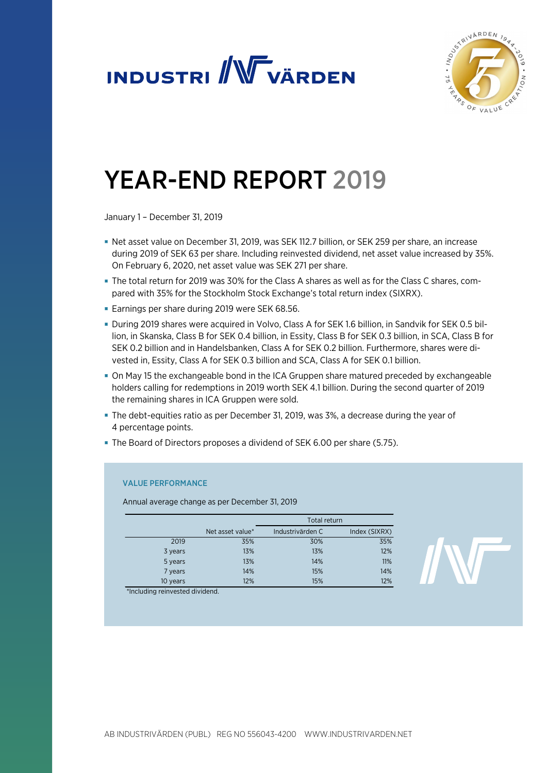



# YEAR-END REPORT 2019

January 1 – December 31, 2019

- Net asset value on December 31, 2019, was SEK 112.7 billion, or SEK 259 per share, an increase during 2019 of SEK 63 per share. Including reinvested dividend, net asset value increased by 35%. On February 6, 2020, net asset value was SEK 271 per share.
- The total return for 2019 was 30% for the Class A shares as well as for the Class C shares, compared with 35% for the Stockholm Stock Exchange's total return index (SIXRX).
- Earnings per share during 2019 were SEK 68.56.
- During 2019 shares were acquired in Volvo, Class A for SEK 1.6 billion, in Sandvik for SEK 0.5 billion, in Skanska, Class B for SEK 0.4 billion, in Essity, Class B for SEK 0.3 billion, in SCA, Class B for SEK 0.2 billion and in Handelsbanken, Class A for SEK 0.2 billion. Furthermore, shares were divested in, Essity, Class A for SEK 0.3 billion and SCA, Class A for SEK 0.1 billion.
- On May 15 the exchangeable bond in the ICA Gruppen share matured preceded by exchangeable holders calling for redemptions in 2019 worth SEK 4.1 billion. During the second quarter of 2019 the remaining shares in ICA Gruppen were sold.
- The debt-equities ratio as per December 31, 2019, was 3%, a decrease during the year of 4 percentage points.
- The Board of Directors proposes a dividend of SEK 6.00 per share (5.75).

# VALUE PERFORMANCE

Annual average change as per December 31, 2019

|          |                  | Total return     |               |
|----------|------------------|------------------|---------------|
|          | Net asset value* | Industrivärden C | Index (SIXRX) |
| 2019     | 35%              | 30%              | 35%           |
| 3 years  | 13%              | 13%              | 12%           |
| 5 years  | 13%              | 14%              | 11%           |
| 7 years  | 14%              | 15%              | 14%           |
| 10 years | 12%              | 15%              | 12%           |

\*Including reinvested dividend.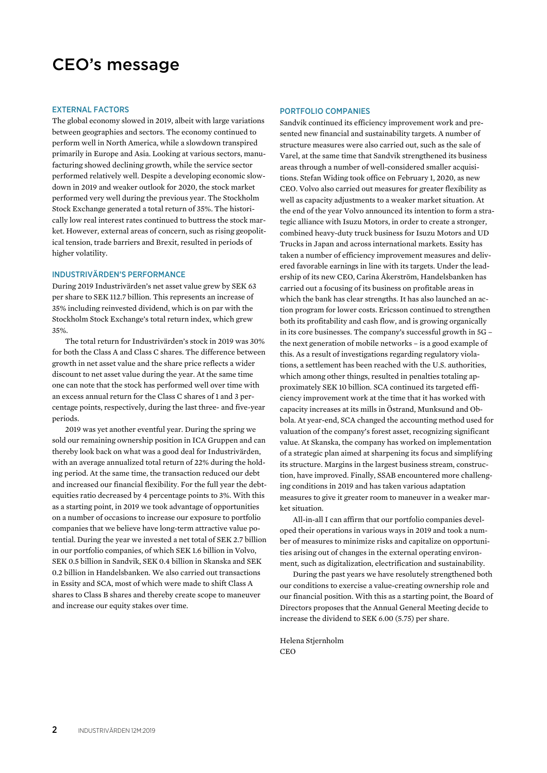# CEO's message

#### EXTERNAL FACTORS

The global economy slowed in 2019, albeit with large variations between geographies and sectors. The economy continued to perform well in North America, while a slowdown transpired primarily in Europe and Asia. Looking at various sectors, manufacturing showed declining growth, while the service sector performed relatively well. Despite a developing economic slowdown in 2019 and weaker outlook for 2020, the stock market performed very well during the previous year. The Stockholm Stock Exchange generated a total return of 35%. The historically low real interest rates continued to buttress the stock market. However, external areas of concern, such as rising geopolitical tension, trade barriers and Brexit, resulted in periods of higher volatility.

#### INDUSTRIVÄRDEN'S PERFORMANCE

During 2019 Industrivärden's net asset value grew by SEK 63 per share to SEK 112.7 billion. This represents an increase of 35% including reinvested dividend, which is on par with the Stockholm Stock Exchange's total return index, which grew 35%.

The total return for Industrivärden's stock in 2019 was 30% for both the Class A and Class C shares. The difference between growth in net asset value and the share price reflects a wider discount to net asset value during the year. At the same time one can note that the stock has performed well over time with an excess annual return for the Class C shares of 1 and 3 percentage points, respectively, during the last three- and five-year periods.

2019 was yet another eventful year. During the spring we sold our remaining ownership position in ICA Gruppen and can thereby look back on what was a good deal for Industrivärden, with an average annualized total return of 22% during the holding period. At the same time, the transaction reduced our debt and increased our financial flexibility. For the full year the debtequities ratio decreased by 4 percentage points to 3%. With this as a starting point, in 2019 we took advantage of opportunities on a number of occasions to increase our exposure to portfolio companies that we believe have long-term attractive value potential. During the year we invested a net total of SEK 2.7 billion in our portfolio companies, of which SEK 1.6 billion in Volvo, SEK 0.5 billion in Sandvik, SEK 0.4 billion in Skanska and SEK 0.2 billion in Handelsbanken. We also carried out transactions in Essity and SCA, most of which were made to shift Class A shares to Class B shares and thereby create scope to maneuver and increase our equity stakes over time.

#### PORTFOLIO COMPANIES

Sandvik continued its efficiency improvement work and presented new financial and sustainability targets. A number of structure measures were also carried out, such as the sale of Varel, at the same time that Sandvik strengthened its business areas through a number of well-considered smaller acquisitions. Stefan Widing took office on February 1, 2020, as new CEO. Volvo also carried out measures for greater flexibility as well as capacity adjustments to a weaker market situation. At the end of the year Volvo announced its intention to form a strategic alliance with Isuzu Motors, in order to create a stronger, combined heavy-duty truck business for Isuzu Motors and UD Trucks in Japan and across international markets. Essity has taken a number of efficiency improvement measures and delivered favorable earnings in line with its targets. Under the leadership of its new CEO, Carina Åkerström, Handelsbanken has carried out a focusing of its business on profitable areas in which the bank has clear strengths. It has also launched an action program for lower costs. Ericsson continued to strengthen both its profitability and cash flow, and is growing organically in its core businesses. The company's successful growth in 5G – the next generation of mobile networks – is a good example of this. As a result of investigations regarding regulatory violations, a settlement has been reached with the U.S. authorities, which among other things, resulted in penalties totaling approximately SEK 10 billion. SCA continued its targeted efficiency improvement work at the time that it has worked with capacity increases at its mills in Östrand, Munksund and Obbola. At year-end, SCA changed the accounting method used for valuation of the company's forest asset, recognizing significant value. At Skanska, the company has worked on implementation of a strategic plan aimed at sharpening its focus and simplifying its structure. Margins in the largest business stream, construction, have improved. Finally, SSAB encountered more challenging conditions in 2019 and has taken various adaptation measures to give it greater room to maneuver in a weaker market situation.

All-in-all I can affirm that our portfolio companies developed their operations in various ways in 2019 and took a number of measures to minimize risks and capitalize on opportunities arising out of changes in the external operating environment, such as digitalization, electrification and sustainability.

During the past years we have resolutely strengthened both our conditions to exercise a value-creating ownership role and our financial position. With this as a starting point, the Board of Directors proposes that the Annual General Meeting decide to increase the dividend to SEK 6.00 (5.75) per share.

Helena Stjernholm **CEO**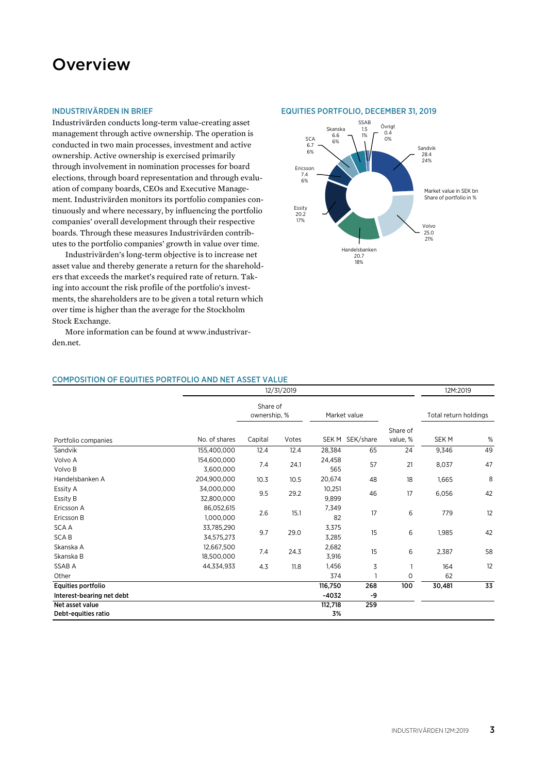# **Overview**

#### INDUSTRIVÄRDEN IN BRIEF

Industrivärden conducts long-term value-creating asset management through active ownership. The operation is conducted in two main processes, investment and active ownership. Active ownership is exercised primarily through involvement in nomination processes for board elections, through board representation and through evaluation of company boards, CEOs and Executive Management. Industrivärden monitors its portfolio companies continuously and where necessary, by influencing the portfolio companies' overall development through their respective boards. Through these measures Industrivärden contributes to the portfolio companies' growth in value over time.

Industrivärden's long-term objective is to increase net asset value and thereby generate a return for the shareholders that exceeds the market's required rate of return. Taking into account the risk profile of the portfolio's investments, the shareholders are to be given a total return which over time is higher than the average for the Stockholm Stock Exchange.

More information can be found at www.industrivarden.net.

#### EQUITIES PORTFOLIO, DECEMBER 31, 2019



# COMPOSITION OF EQUITIES PORTFOLIO AND NET ASSET VALUE

|                           |               |                          | 12/31/2019 |         |                 |              | 12M:2019              |    |
|---------------------------|---------------|--------------------------|------------|---------|-----------------|--------------|-----------------------|----|
|                           |               | Share of<br>ownership, % |            |         | Market value    |              | Total return holdings |    |
|                           |               |                          |            |         |                 | Share of     |                       |    |
| Portfolio companies       | No. of shares | Capital                  | Votes      |         | SEK M SEK/share | value, %     | SEK <sub>M</sub>      | %  |
| Sandvik                   | 155,400,000   | 12.4                     | 12.4       | 28,384  | 65              | 24           | 9,346                 | 49 |
| Volvo A                   | 154,600,000   |                          |            | 24,458  |                 |              |                       | 47 |
| Volvo B                   | 3,600,000     | 7.4                      | 24.1       | 565     | 57              | 21           | 8,037                 |    |
| Handelsbanken A           | 204,900,000   | 10.3                     | 10.5       | 20,674  | 48              | 18           | 1,665                 | 8  |
| Essity A                  | 34,000,000    |                          | 29.2       | 10,251  | 46              | 17           | 6,056                 | 42 |
| Essity B                  | 32,800,000    | 9.5                      |            | 9,899   |                 |              |                       |    |
| Ericsson A                | 86,052,615    | 2.6                      | 15.1       | 7,349   | 17              | 6            | 779                   | 12 |
| Ericsson B                | 1.000.000     |                          |            | 82      |                 |              |                       |    |
| <b>SCAA</b>               | 33,785,290    | 9.7                      | 29.0       | 3,375   | 15              | 6            | 1,985                 | 42 |
| <b>SCAB</b>               | 34.575.273    |                          |            | 3,285   |                 |              |                       |    |
| Skanska A                 | 12,667,500    | 7.4                      | 24.3       | 2,682   | 15              | 6            | 2,387                 | 58 |
| Skanska B                 | 18,500,000    |                          |            | 3,916   |                 |              |                       |    |
| SSAB A                    | 44,334,933    | 4.3                      | 11.8       | 1,456   | 3               | $\mathbf{1}$ | 164                   | 12 |
| Other                     |               |                          |            | 374     |                 | 0            | 62                    |    |
| Equities portfolio        |               |                          |            | 116,750 | 268             | 100          | 30,481                | 33 |
| Interest-bearing net debt |               |                          |            | $-4032$ | -9              |              |                       |    |
| Net asset value           |               |                          |            | 112,718 | 259             |              |                       |    |
| Debt-equities ratio       |               |                          |            | 3%      |                 |              |                       |    |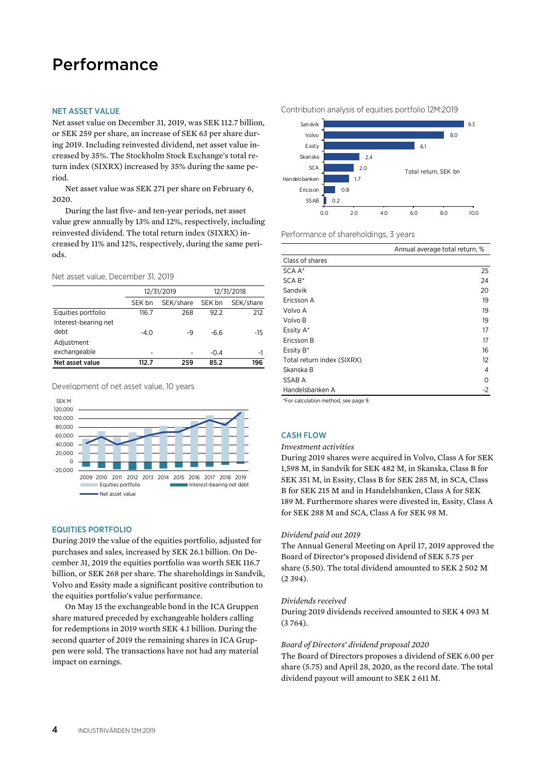# Performance

#### NET ASSET VALUE

Net asset value on December 31, 2019, was SEK 112.7 billion, or SEK 259 per share, an increase of SEK 63 per share during 2019. Including reinvested dividend, net asset value increased by 35%. The Stockholm Stock Exchange's total return index (SIXRX) increased by 35% during the same period.

Net asset value was SEK 271 per share on February 6, 2020.

During the last five- and ten-year periods, net asset value grew annually by 13% and 12%, respectively, including reinvested dividend. The total return index (SIXRX) increased by 11% and 12%, respectively, during the same periods.

Net asset value, December 31, 2019

|                      |        | 12/31/2019 |        | 12/31/2018 |
|----------------------|--------|------------|--------|------------|
|                      | SEK bn | SEK/share  | SEK bn | SEK/share  |
| Equities portfolio   | 116.7  | 268        | 92.2   | 212        |
| Interest-bearing net |        |            |        |            |
| debt                 | $-4.0$ | -9         | $-6.6$ | -15        |
| Adjustment           |        |            |        |            |
| exchangeable         | ۰      |            | $-0.4$ | -1         |
| Net asset value      | 112.7  | 259        | 85.2   | 196        |

Development of net asset value, 10 years



#### EQUITIES PORTFOLIO

During 2019 the value of the equities portfolio, adjusted for purchases and sales, increased by SEK 26.1 billion. On December 31, 2019 the equities portfolio was worth SEK 116.7 billion, or SEK 268 per share. The shareholdings in Sandvik, Volvo and Essity made a significant positive contribution to the equities portfolio's value performance.

On May 15 the exchangeable bond in the ICA Gruppen share matured preceded by exchangeable holders calling for redemptions in 2019 worth SEK 4.1 billion. During the second quarter of 2019 the remaining shares in ICA Gruppen were sold. The transactions have not had any material impact on earnings.





Performance of shareholdings, 3 years

|                            | Annual average total return, % |
|----------------------------|--------------------------------|
| Class of shares            |                                |
| SCA A*                     | 25                             |
| $SCA B*$                   | 24                             |
| Sandvik                    | 20                             |
| Ericsson A                 | 19                             |
| Volvo A                    | 19                             |
| Volvo B                    | 19                             |
| Essity A*                  | 17                             |
| Ericsson B                 | 17                             |
| Essity B*                  | 16                             |
| Total return index (SIXRX) | 12                             |
| Skanska B                  | 4                              |
| SSAB A                     | 0                              |
| Handelsbanken A            | -2                             |
|                            |                                |

\*For calculation method, see page 9.

# CASH FLOW

# *Investment activities*

During 2019 shares were acquired in Volvo, Class A for SEK 1,598 M, in Sandvik for SEK 482 M, in Skanska, Class B for SEK 351 M, in Essity, Class B for SEK 285 M, in SCA, Class B for SEK 215 M and in Handelsbanken, Class A for SEK 189 M. Furthermore shares were divested in, Essity, Class A for SEK 288 M and SCA, Class A for SEK 98 M.

#### *Dividend paid out 2019*

The Annual General Meeting on April 17, 2019 approved the Board of Director's proposed dividend of SEK 5.75 per share (5.50). The total dividend amounted to SEK 2 502 M (2 394).

#### *Dividends received*

During 2019 dividends received amounted to SEK 4 093 M (3 764).

#### *Board of Directors' dividend proposal 2020*

The Board of Directors proposes a dividend of SEK 6.00 per share (5.75) and April 28, 2020, as the record date. The total dividend payout will amount to SEK 2 611 M.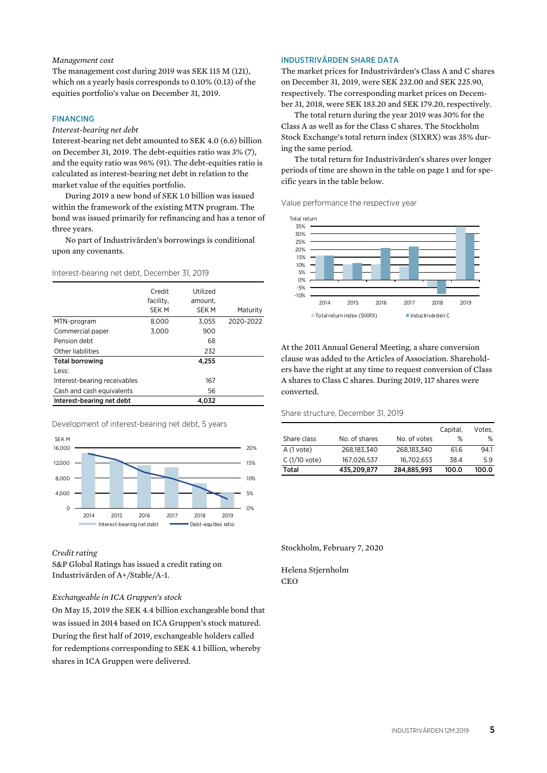#### *Management cost*

The management cost during 2019 was SEK 115 M (121), which on a yearly basis corresponds to 0.10% (0.13) of the equities portfolio's value on December 31, 2019.

# FINANCING

# *Interest-bearing net debt*

Interest-bearing net debt amounted to SEK 4.0 (6.6) billion on December 31, 2019. The debt-equities ratio was 3% (7), and the equity ratio was 96% (91). The debt-equities ratio is calculated as interest-bearing net debt in relation to the market value of the equities portfolio.

During 2019 a new bond of SEK 1.0 billion was issued within the framework of the existing MTN program. The bond was issued primarily for refinancing and has a tenor of three years.

No part of Industrivärden's borrowings is conditional upon any covenants.

Interest-bearing net debt, December 31, 2019

|                              | Credit<br>facility.<br><b>SEK M</b> | Utilized<br>amount.<br>SEK M | Maturity  |
|------------------------------|-------------------------------------|------------------------------|-----------|
| MTN-program                  | 8.000                               | 3.055                        | 2020-2022 |
| Commercial paper             | 3.000                               | 900                          |           |
| Pension debt                 |                                     | 68                           |           |
| Other liabilities            |                                     | 232                          |           |
| <b>Total borrowing</b>       |                                     | 4.255                        |           |
| Less:                        |                                     |                              |           |
| Interest-bearing receivables |                                     | 167                          |           |
| Cash and cash equivalents    |                                     | 56                           |           |
| Interest-bearing net debt    |                                     | 4.032                        |           |

Development of interest-bearing net debt, 5 years



#### *Credit rating*

S&P Global Ratings has issued a credit rating on Industrivärden of A+/Stable/A-1.

### *Exchangeable in ICA Gruppen's stock*

On May 15, 2019 the SEK 4.4 billion exchangeable bond that was issued in 2014 based on ICA Gruppen's stock matured. During the first half of 2019, exchangeable holders called for redemptions corresponding to SEK 4.1 billion, whereby shares in ICA Gruppen were delivered.

### INDUSTRIVÄRDEN SHARE DATA

The market prices for Industrivärden's Class A and C shares on December 31, 2019, were SEK 232.00 and SEK 225.90, respectively. The corresponding market prices on December 31, 2018, were SEK 183.20 and SEK 179.20, respectively.

The total return during the year 2019 was 30% for the Class A as well as for the Class C shares. The Stockholm Stock Exchange's total return index (SIXRX) was 35% during the same period.

The total return for Industrivärden's shares over longer periods of time are shown in the table on page 1 and for specific years in the table below.

Value performance the respective year



At the 2011 Annual General Meeting, a share conversion clause was added to the Articles of Association. Shareholders have the right at any time to request conversion of Class A shares to Class C shares. During 2019, 117 shares were converted.

#### Share structure, December 31, 2019

|               |              | Capital. | Votes. |
|---------------|--------------|----------|--------|
| No. of shares | No. of votes | %        | %      |
| 268.183.340   | 268.183.340  | 61.6     | 94.1   |
| 167.026.537   | 16.702.653   | 38.4     | 5.9    |
| 435,209,877   | 284,885,993  | 100.0    | 100.0  |
|               |              |          |        |

Stockholm, February 7, 2020

Helena Stjernholm **CEO**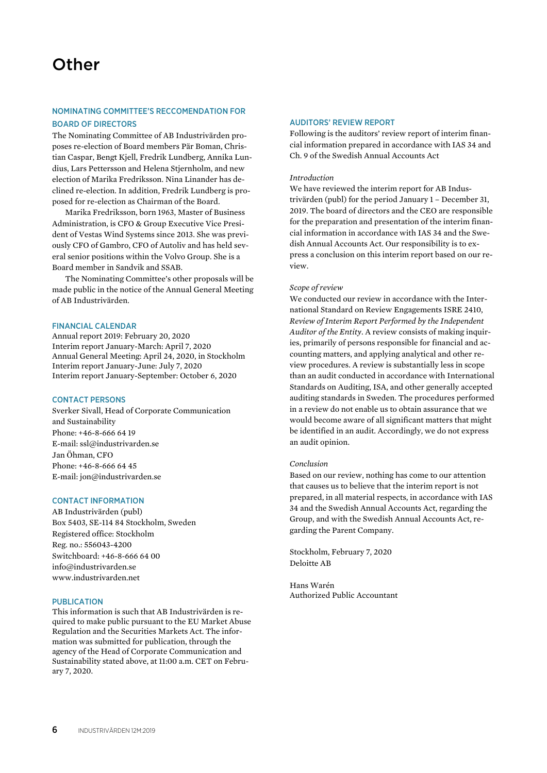# NOMINATING COMMITTEE'S RECCOMENDATION FOR BOARD OF DIRECTORS

The Nominating Committee of AB Industrivärden proposes re-election of Board members Pär Boman, Christian Caspar, Bengt Kjell, Fredrik Lundberg, Annika Lundius, Lars Pettersson and Helena Stjernholm, and new election of Marika Fredriksson. Nina Linander has declined re-election. In addition, Fredrik Lundberg is proposed for re-election as Chairman of the Board.

Marika Fredriksson, born 1963, Master of Business Administration, is CFO & Group Executive Vice President of Vestas Wind Systems since 2013. She was previously CFO of Gambro, CFO of Autoliv and has held several senior positions within the Volvo Group. She is a Board member in Sandvik and SSAB.

The Nominating Committee's other proposals will be made public in the notice of the Annual General Meeting of AB Industrivärden.

# FINANCIAL CALENDAR

Annual report 2019: February 20, 2020 Interim report January-March: April 7, 2020 Annual General Meeting: April 24, 2020, in Stockholm Interim report January-June: July 7, 2020 Interim report January-September: October 6, 2020

# CONTACT PERSONS

Sverker Sivall, Head of Corporate Communication and Sustainability Phone: +46-8-666 64 19 E-mail: ssl@industrivarden.se Jan Öhman, CFO Phone: +46-8-666 64 45 E-mail: jon@industrivarden.se

# CONTACT INFORMATION

AB Industrivärden (publ) Box 5403, SE-114 84 Stockholm, Sweden Registered office: Stockholm Reg. no.: 556043-4200 Switchboard: +46-8-666 64 00 info@industrivarden.se www.industrivarden.net

# PUBLICATION

This information is such that AB Industrivärden is required to make public pursuant to the EU Market Abuse Regulation and the Securities Markets Act. The information was submitted for publication, through the agency of the Head of Corporate Communication and Sustainability stated above, at 11:00 a.m. CET on February 7, 2020.

# AUDITORS' REVIEW REPORT

Following is the auditors' review report of interim financial information prepared in accordance with IAS 34 and Ch. 9 of the Swedish Annual Accounts Act

### *Introduction*

We have reviewed the interim report for AB Industrivärden (publ) for the period January 1 – December 31, 2019. The board of directors and the CEO are responsible for the preparation and presentation of the interim financial information in accordance with IAS 34 and the Swedish Annual Accounts Act. Our responsibility is to express a conclusion on this interim report based on our review.

# *Scope of review*

We conducted our review in accordance with the International Standard on Review Engagements ISRE 2410, *Review of Interim Report Performed by the Independent Auditor of the Entity*. A review consists of making inquiries, primarily of persons responsible for financial and accounting matters, and applying analytical and other review procedures. A review is substantially less in scope than an audit conducted in accordance with International Standards on Auditing, ISA, and other generally accepted auditing standards in Sweden. The procedures performed in a review do not enable us to obtain assurance that we would become aware of all significant matters that might be identified in an audit. Accordingly, we do not express an audit opinion.

### *Conclusion*

Based on our review, nothing has come to our attention that causes us to believe that the interim report is not prepared, in all material respects, in accordance with IAS 34 and the Swedish Annual Accounts Act, regarding the Group, and with the Swedish Annual Accounts Act, regarding the Parent Company.

Stockholm, February 7, 2020 Deloitte AB

Hans Warén Authorized Public Accountant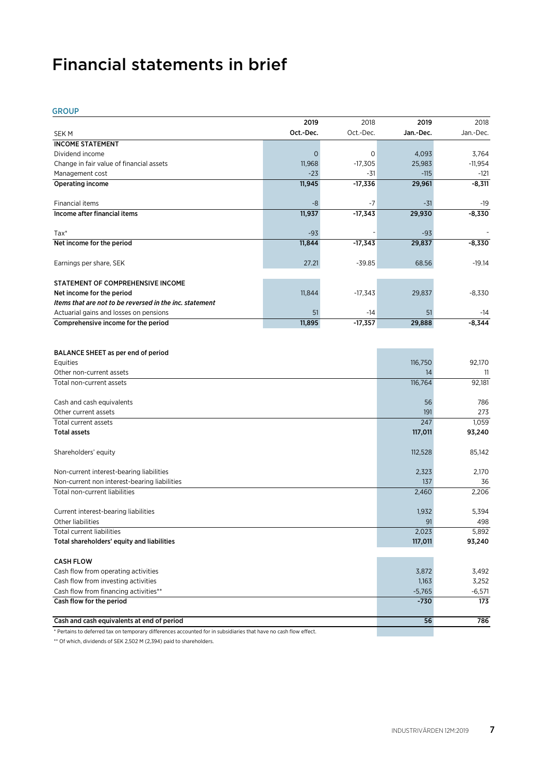# Financial statements in brief

GROUP

|                                                                                                                  | 2019      | 2018        | 2019       | 2018         |
|------------------------------------------------------------------------------------------------------------------|-----------|-------------|------------|--------------|
| <b>SEK M</b>                                                                                                     | Oct.-Dec. | Oct.-Dec.   | Jan.-Dec.  | Jan.-Dec.    |
| <b>INCOME STATEMENT</b>                                                                                          |           |             |            |              |
| Dividend income                                                                                                  | $\circ$   | $\mathbf 0$ | 4,093      | 3,764        |
| Change in fair value of financial assets                                                                         | 11,968    | $-17,305$   | 25,983     | $-11,954$    |
| Management cost                                                                                                  | $-23$     | -31         | $-115$     | -121         |
| <b>Operating income</b>                                                                                          | 11,945    | $-17,336$   | 29,961     | $-8,311$     |
|                                                                                                                  |           |             |            |              |
| Financial items                                                                                                  | -8        | -7          | $-31$      | -19          |
| Income after financial items                                                                                     | 11,937    | $-17,343$   | 29,930     | $-8,330$     |
|                                                                                                                  |           |             |            |              |
| $Tax*$                                                                                                           | $-93$     |             | $-93$      |              |
| Net income for the period                                                                                        | 11,844    | $-17,343$   | 29,837     | $-8,330$     |
|                                                                                                                  |           |             |            |              |
| Earnings per share, SEK                                                                                          | 27.21     | $-39.85$    | 68.56      | $-19.14$     |
|                                                                                                                  |           |             |            |              |
| STATEMENT OF COMPREHENSIVE INCOME                                                                                |           |             |            |              |
| Net income for the period                                                                                        | 11,844    | $-17,343$   | 29,837     | $-8,330$     |
| Items that are not to be reversed in the inc. statement                                                          |           |             |            |              |
| Actuarial gains and losses on pensions                                                                           | 51        | -14         | 51         | -14          |
| Comprehensive income for the period                                                                              | 11,895    | $-17,357$   | 29,888     | $-8,344$     |
|                                                                                                                  |           |             |            |              |
|                                                                                                                  |           |             |            |              |
| BALANCE SHEET as per end of period                                                                               |           |             |            |              |
| Equities                                                                                                         |           |             | 116,750    | 92,170       |
| Other non-current assets                                                                                         |           |             | 14         | 11           |
| Total non-current assets                                                                                         |           |             | 116,764    | 92,181       |
|                                                                                                                  |           |             |            |              |
| Cash and cash equivalents                                                                                        |           |             | 56         | 786          |
| Other current assets                                                                                             |           |             | 191<br>247 | 273<br>1,059 |
| Total current assets<br><b>Total assets</b>                                                                      |           |             |            |              |
|                                                                                                                  |           |             | 117,011    | 93,240       |
| Shareholders' equity                                                                                             |           |             | 112,528    | 85,142       |
|                                                                                                                  |           |             |            |              |
| Non-current interest-bearing liabilities                                                                         |           |             | 2,323      | 2,170        |
| Non-current non interest-bearing liabilities                                                                     |           |             | 137        | 36           |
| Total non-current liabilities                                                                                    |           |             | 2,460      | 2,206        |
|                                                                                                                  |           |             |            |              |
| Current interest-bearing liabilities                                                                             |           |             | 1,932      | 5.394        |
| Other liabilities                                                                                                |           |             | 91         | 498          |
| Total current liabilities                                                                                        |           |             | 2,023      | 5,892        |
| Total shareholders' equity and liabilities                                                                       |           |             | 117,011    | 93,240       |
|                                                                                                                  |           |             |            |              |
| <b>CASH FLOW</b>                                                                                                 |           |             |            |              |
| Cash flow from operating activities                                                                              |           |             | 3,872      | 3,492        |
| Cash flow from investing activities                                                                              |           |             | 1,163      | 3,252        |
| Cash flow from financing activities**                                                                            |           |             | $-5,765$   | $-6,571$     |
| Cash flow for the period                                                                                         |           |             | $-730$     | 173          |
|                                                                                                                  |           |             |            |              |
| Cash and cash equivalents at end of period                                                                       |           |             | 56         | 786          |
| * Pertains to deferred tax on temporary differences accounted for in subsidiaries that have no cash flow effect. |           |             |            |              |

\*\* Of which, dividends of SEK 2,502 M (2,394) paid to shareholders.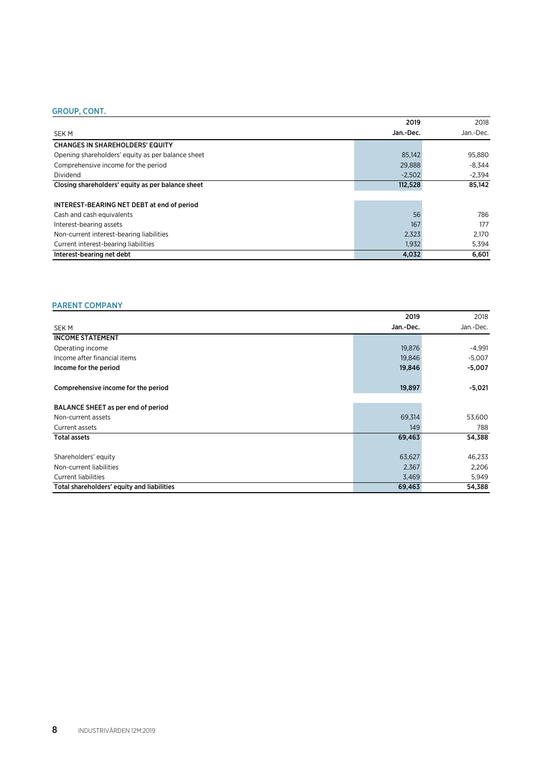# GROUP, CONT.

|                                                   | 2019      | 2018      |
|---------------------------------------------------|-----------|-----------|
| <b>SEKM</b>                                       | Jan.-Dec. | Jan.-Dec. |
| <b>CHANGES IN SHAREHOLDERS' EQUITY</b>            |           |           |
| Opening shareholders' equity as per balance sheet | 85,142    | 95,880    |
| Comprehensive income for the period               | 29,888    | $-8.344$  |
| Dividend                                          | $-2,502$  | $-2,394$  |
| Closing shareholders' equity as per balance sheet | 112,528   | 85.142    |
|                                                   |           |           |
| INTEREST-BEARING NET DEBT at end of period        |           |           |
| Cash and cash equivalents                         | 56        | 786       |
| Interest-bearing assets                           | 167       | 177       |
| Non-current interest-bearing liabilities          | 2,323     | 2,170     |
| Current interest-bearing liabilities              | 1,932     | 5,394     |
| Interest-bearing net debt                         | 4,032     | 6.601     |

# PARENT COMPANY

|                                            | 2019      | 2018      |
|--------------------------------------------|-----------|-----------|
| <b>SEKM</b>                                | Jan.-Dec. | Jan.-Dec. |
| <b>INCOME STATEMENT</b>                    |           |           |
| Operating income                           | 19,876    | $-4,991$  |
| Income after financial items               | 19,846    | $-5,007$  |
| Income for the period                      | 19,846    | $-5,007$  |
| Comprehensive income for the period        | 19,897    | $-5,021$  |
| BALANCE SHEET as per end of period         |           |           |
| Non-current assets                         | 69,314    | 53,600    |
| Current assets                             | 149       | 788       |
| <b>Total assets</b>                        | 69,463    | 54,388    |
| Shareholders' equity                       | 63,627    | 46,233    |
| Non-current liabilities                    | 2,367     | 2,206     |
| <b>Current liabilities</b>                 | 3,469     | 5,949     |
| Total shareholders' equity and liabilities | 69,463    | 54,388    |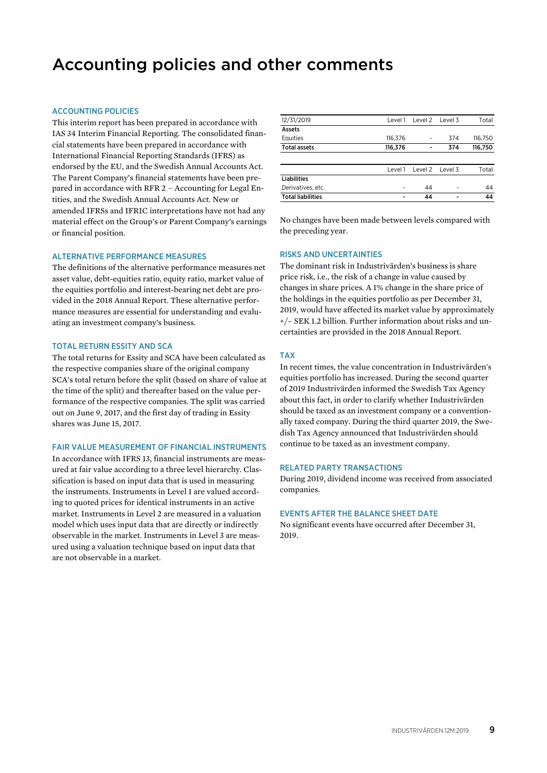# Accounting policies and other comments

# ACCOUNTING POLICIES

This interim report has been prepared in accordance with IAS 34 Interim Financial Reporting. The consolidated financial statements have been prepared in accordance with International Financial Reporting Standards (IFRS) as endorsed by the EU, and the Swedish Annual Accounts Act. The Parent Company's financial statements have been prepared in accordance with RFR 2 – Accounting for Legal Entities, and the Swedish Annual Accounts Act. New or amended IFRSs and IFRIC interpretations have not had any material effect on the Group's or Parent Company's earnings or financial position.

# ALTERNATIVE PERFORMANCE MEASURES

The definitions of the alternative performance measures net asset value, debt-equities ratio, equity ratio, market value of the equities portfolio and interest-bearing net debt are provided in the 2018 Annual Report. These alternative performance measures are essential for understanding and evaluating an investment company's business.

### TOTAL RETURN ESSITY AND SCA

The total returns for Essity and SCA have been calculated as the respective companies share of the original company SCA's total return before the split (based on share of value at the time of the split) and thereafter based on the value performance of the respective companies. The split was carried out on June 9, 2017, and the first day of trading in Essity shares was June 15, 2017.

### FAIR VALUE MEASUREMENT OF FINANCIAL INSTRUMENTS

In accordance with IFRS 13, financial instruments are measured at fair value according to a three level hierarchy. Classification is based on input data that is used in measuring the instruments. Instruments in Level 1 are valued according to quoted prices for identical instruments in an active market. Instruments in Level 2 are measured in a valuation model which uses input data that are directly or indirectly observable in the market. Instruments in Level 3 are measured using a valuation technique based on input data that are not observable in a market.

| 12/31/2019               | Level 1 | Level 2 Level 3 |                | Total   |
|--------------------------|---------|-----------------|----------------|---------|
|                          |         |                 |                |         |
| Assets                   |         |                 |                |         |
| Equities                 | 116,376 |                 | 374            | 116,750 |
| <b>Total assets</b>      | 116,376 | -               | 374            | 116,750 |
|                          |         |                 |                |         |
|                          | Level 1 | Level 2 Level 3 |                | Total   |
| <b>Liabilities</b>       |         |                 |                |         |
| Derivatives, etc.        |         | 44              |                | 44      |
| <b>Total liabilities</b> |         | 44              | $\blacksquare$ | 44      |

No changes have been made between levels compared with the preceding year.

### RISKS AND UNCERTAINTIES

The dominant risk in Industrivärden's business is share price risk, i.e., the risk of a change in value caused by changes in share prices. A 1% change in the share price of the holdings in the equities portfolio as per December 31, 2019, would have affected its market value by approximately +/– SEK 1.2 billion. Further information about risks and uncertainties are provided in the 2018 Annual Report.

### TAX

In recent times, the value concentration in Industrivärden's equities portfolio has increased. During the second quarter of 2019 Industrivärden informed the Swedish Tax Agency about this fact, in order to clarify whether Industrivärden should be taxed as an investment company or a conventionally taxed company. During the third quarter 2019, the Swedish Tax Agency announced that Industrivärden should continue to be taxed as an investment company.

# RELATED PARTY TRANSACTIONS

During 2019, dividend income was received from associated companies.

#### EVENTS AFTER THE BALANCE SHEET DATE

No significant events have occurred after December 31, 2019.